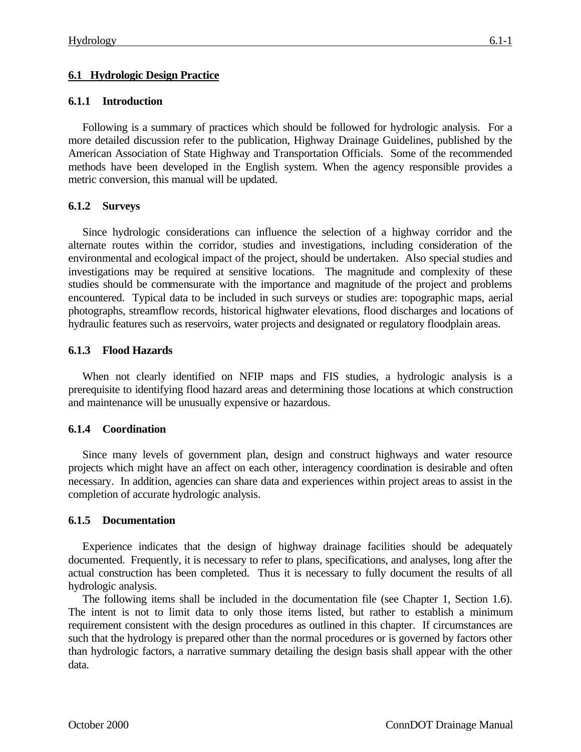## **6.1.1 Introduction**

Following is a summary of practices which should be followed for hydrologic analysis. For a more detailed discussion refer to the publication, Highway Drainage Guidelines, published by the American Association of State Highway and Transportation Officials. Some of the recommended methods have been developed in the English system. When the agency responsible provides a metric conversion, this manual will be updated.

# **6.1.2 Surveys**

Since hydrologic considerations can influence the selection of a highway corridor and the alternate routes within the corridor, studies and investigations, including consideration of the environmental and ecological impact of the project, should be undertaken. Also special studies and investigations may be required at sensitive locations. The magnitude and complexity of these studies should be commensurate with the importance and magnitude of the project and problems encountered. Typical data to be included in such surveys or studies are: topographic maps, aerial photographs, streamflow records, historical highwater elevations, flood discharges and locations of hydraulic features such as reservoirs, water projects and designated or regulatory floodplain areas.

# **6.1.3 Flood Hazards**

When not clearly identified on NFIP maps and FIS studies, a hydrologic analysis is a prerequisite to identifying flood hazard areas and determining those locations at which construction and maintenance will be unusually expensive or hazardous.

# **6.1.4 Coordination**

Since many levels of government plan, design and construct highways and water resource projects which might have an affect on each other, interagency coordination is desirable and often necessary. In addition, agencies can share data and experiences within project areas to assist in the completion of accurate hydrologic analysis.

#### **6.1.5 Documentation**

Experience indicates that the design of highway drainage facilities should be adequately documented. Frequently, it is necessary to refer to plans, specifications, and analyses, long after the actual construction has been completed. Thus it is necessary to fully document the results of all hydrologic analysis.

The following items shall be included in the documentation file (see Chapter 1, Section 1.6). The intent is not to limit data to only those items listed, but rather to establish a minimum requirement consistent with the design procedures as outlined in this chapter. If circumstances are such that the hydrology is prepared other than the normal procedures or is governed by factors other than hydrologic factors, a narrative summary detailing the design basis shall appear with the other data.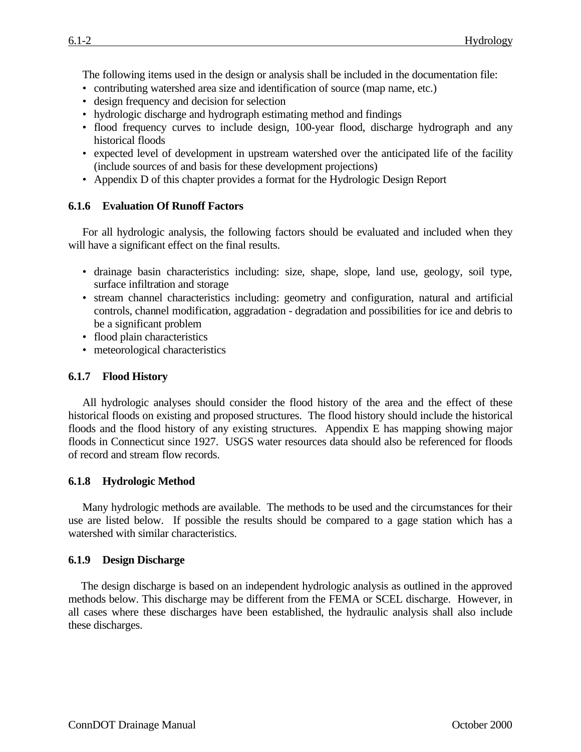The following items used in the design or analysis shall be included in the documentation file:

- contributing watershed area size and identification of source (map name, etc.)
- design frequency and decision for selection
- hydrologic discharge and hydrograph estimating method and findings
- flood frequency curves to include design, 100-year flood, discharge hydrograph and any historical floods
- expected level of development in upstream watershed over the anticipated life of the facility (include sources of and basis for these development projections)
- Appendix D of this chapter provides a format for the Hydrologic Design Report

#### **6.1.6 Evaluation Of Runoff Factors**

For all hydrologic analysis, the following factors should be evaluated and included when they will have a significant effect on the final results.

- drainage basin characteristics including: size, shape, slope, land use, geology, soil type, surface infiltration and storage
- stream channel characteristics including: geometry and configuration, natural and artificial controls, channel modification, aggradation - degradation and possibilities for ice and debris to be a significant problem
- flood plain characteristics
- meteorological characteristics

## **6.1.7 Flood History**

All hydrologic analyses should consider the flood history of the area and the effect of these historical floods on existing and proposed structures. The flood history should include the historical floods and the flood history of any existing structures. Appendix E has mapping showing major floods in Connecticut since 1927. USGS water resources data should also be referenced for floods of record and stream flow records.

#### **6.1.8 Hydrologic Method**

Many hydrologic methods are available. The methods to be used and the circumstances for their use are listed below. If possible the results should be compared to a gage station which has a watershed with similar characteristics.

#### **6.1.9 Design Discharge**

The design discharge is based on an independent hydrologic analysis as outlined in the approved methods below. This discharge may be different from the FEMA or SCEL discharge. However, in all cases where these discharges have been established, the hydraulic analysis shall also include these discharges.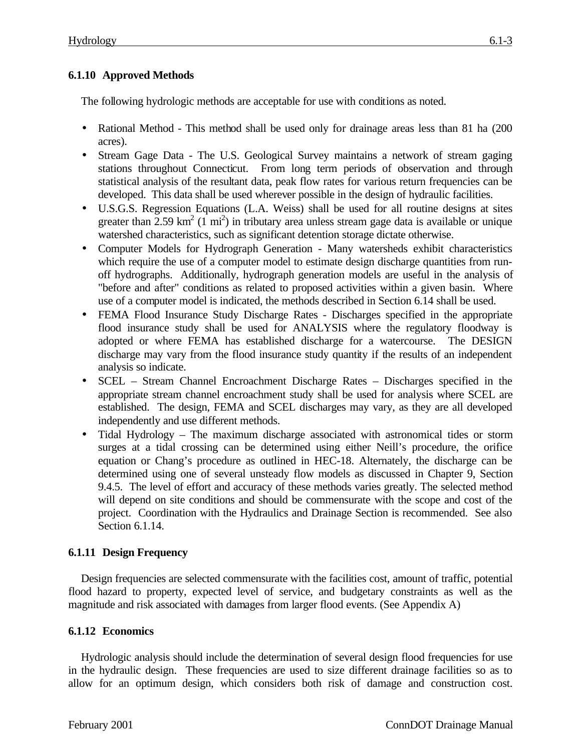# **6.1.10 Approved Methods**

The following hydrologic methods are acceptable for use with conditions as noted.

- Rational Method This method shall be used only for drainage areas less than 81 ha (200) acres).
- Stream Gage Data The U.S. Geological Survey maintains a network of stream gaging stations throughout Connecticut. From long term periods of observation and through statistical analysis of the resultant data, peak flow rates for various return frequencies can be developed. This data shall be used wherever possible in the design of hydraulic facilities.
- U.S.G.S. Regression Equations (L.A. Weiss) shall be used for all routine designs at sites greater than 2.59 km<sup>2</sup> (1 mi<sup>2</sup>) in tributary area unless stream gage data is available or unique watershed characteristics, such as significant detention storage dictate otherwise.
- Computer Models for Hydrograph Generation Many watersheds exhibit characteristics which require the use of a computer model to estimate design discharge quantities from runoff hydrographs. Additionally, hydrograph generation models are useful in the analysis of "before and after" conditions as related to proposed activities within a given basin. Where use of a computer model is indicated, the methods described in Section 6.14 shall be used.
- FEMA Flood Insurance Study Discharge Rates Discharges specified in the appropriate flood insurance study shall be used for ANALYSIS where the regulatory floodway is adopted or where FEMA has established discharge for a watercourse. The DESIGN discharge may vary from the flood insurance study quantity if the results of an independent analysis so indicate.
- SCEL Stream Channel Encroachment Discharge Rates Discharges specified in the appropriate stream channel encroachment study shall be used for analysis where SCEL are established. The design, FEMA and SCEL discharges may vary, as they are all developed independently and use different methods.
- Tidal Hydrology The maximum discharge associated with astronomical tides or storm surges at a tidal crossing can be determined using either Neill's procedure, the orifice equation or Chang's procedure as outlined in HEC-18. Alternately, the discharge can be determined using one of several unsteady flow models as discussed in Chapter 9, Section 9.4.5. The level of effort and accuracy of these methods varies greatly. The selected method will depend on site conditions and should be commensurate with the scope and cost of the project. Coordination with the Hydraulics and Drainage Section is recommended. See also Section 6.1.14.

# **6.1.11 Design Frequency**

Design frequencies are selected commensurate with the facilities cost, amount of traffic, potential flood hazard to property, expected level of service, and budgetary constraints as well as the magnitude and risk associated with damages from larger flood events. (See Appendix A)

# **6.1.12 Economics**

Hydrologic analysis should include the determination of several design flood frequencies for use in the hydraulic design. These frequencies are used to size different drainage facilities so as to allow for an optimum design, which considers both risk of damage and construction cost.